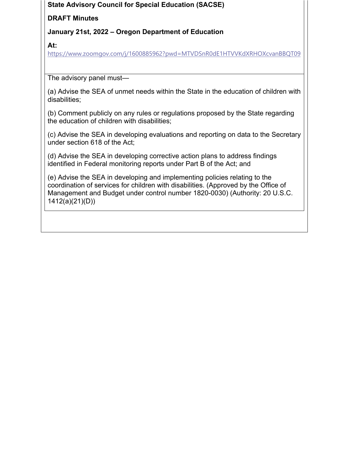## **State Advisory Council for Special Education (SACSE)**

# **DRAFT Minutes**

# **January 21st, 2022 – Oregon Department of Education**

**At:** 

https://www.zoomgov.com/j/1600885962?pwd=MTVDSnR0dE1HTVVKdXRHOXcvanBBQT09

The advisory panel must—

(a) Advise the SEA of unmet needs within the State in the education of children with disabilities;

(b) Comment publicly on any rules or regulations proposed by the State regarding the education of children with disabilities;

(c) Advise the SEA in developing evaluations and reporting on data to the Secretary under section 618 of the Act;

(d) Advise the SEA in developing corrective action plans to address findings identified in Federal monitoring reports under Part B of the Act; and

(e) Advise the SEA in developing and implementing policies relating to the coordination of services for children with disabilities. (Approved by the Office of Management and Budget under control number 1820-0030) (Authority: 20 U.S.C. 1412(a)(21)(D))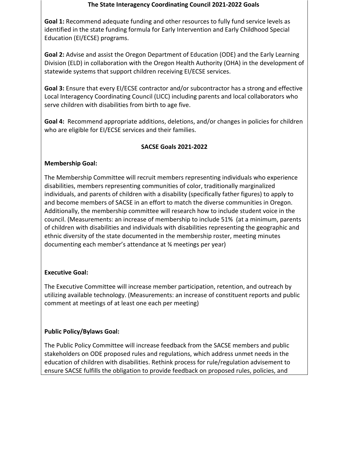#### **The State Interagency Coordinating Council 2021‐2022 Goals**

 **Goal 1:** Recommend adequate funding and other resources to fully fund service levels as identified in the state funding formula for Early Intervention and Early Childhood Special Education (EI/ECSE) programs.

 **Goal 2:** Advise and assist the Oregon Department of Education (ODE) and the Early Learning Division (ELD) in collaboration with the Oregon Health Authority (OHA) in the development of statewide systems that support children receiving EI/ECSE services.

 **Goal 3:** Ensure that every EI/ECSE contractor and/or subcontractor has a strong and effective Local Interagency Coordinating Council (LICC) including parents and local collaborators who serve children with disabilities from birth to age five.

 **Goal 4:** Recommend appropriate additions, deletions, and/or changes in policies for children who are eligible for EI/ECSE services and their families.

## **SACSE Goals 2021‐2022**

#### **Membership Goal:**

 The Membership Committee will recruit members representing individuals who experience disabilities, members representing communities of color, traditionally marginalized individuals, and parents of children with a disability (specifically father figures) to apply to and become members of SACSE in an effort to match the diverse communities in Oregon. Additionally, the membership committee will research how to include student voice in the council. (Measurements: an increase of membership to include 51% (at a minimum, parents of children with disabilities and individuals with disabilities representing the geographic and ethnic diversity of the state documented in the membership roster, meeting minutes documenting each member's attendance at ¾ meetings per year)

## **Executive Goal:**

 The Executive Committee will increase member participation, retention, and outreach by utilizing available technology. (Measurements: an increase of constituent reports and public comment at meetings of at least one each per meeting)

## **Public Policy/Bylaws Goal:**

 The Public Policy Committee will increase feedback from the SACSE members and public stakeholders on ODE proposed rules and regulations, which address unmet needs in the education of children with disabilities. Rethink process for rule/regulation advisement to ensure SACSE fulfills the obligation to provide feedback on proposed rules, policies, and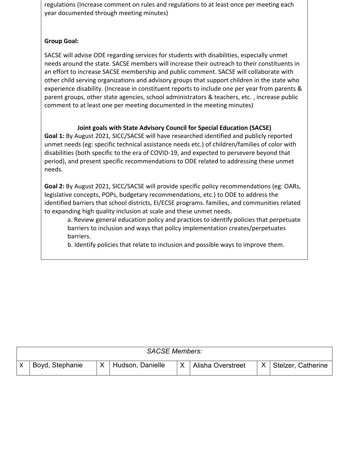regulations (Increase comment on rules and regulations to at least once per meeting each year documented through meeting minutes)

## **Group Goal:**

 SACSE will advise ODE regarding services for students with disabilities, especially unmet needs around the state. SACSE members will increase their outreach to their constituents in an effort to increase SACSE membership and public comment. SACSE will collaborate with other child serving organizations and advisory groups that support children in the state who experience disability. (Increase in constituent reports to include one per year from parents & parent groups, other state agencies, school administrators & teachers, etc. , increase public comment to at least one per meeting documented in the meeting minutes)

## **Joint goals with State Advisory Council for Special Education (SACSE)**

 **Goal 1:** By August 2021, SICC/SACSE will have researched identified and publicly reported unmet needs (eg: specific technical assistance needs etc.) of children/families of color with disabilities (both specific to the era of COVID‐19, and expected to persevere beyond that period), and present specific recommendations to ODE related to addressing these unmet needs.

 **Goal 2:** By August 2021, SICC/SACSE will provide specific policy recommendations (eg: OARs, legislative concepts, POPs, budgetary recommendations, etc.) to ODE to address the identified barriers that school districts, EI/ECSE programs. families, and communities related to expanding high quality inclusion at scale and these unmet needs.

 a. Review general education policy and practices to identify policies that perpetuate barriers to inclusion and ways that policy implementation creates/perpetuates barriers.

b. Identify policies that relate to inclusion and possible ways to improve them.

| <b>SACSE Members:</b> |                 |  |                  |  |                          |   |                    |
|-----------------------|-----------------|--|------------------|--|--------------------------|---|--------------------|
|                       | Boyd, Stephanie |  | Hudson, Danielle |  | <b>Alisha Overstreet</b> | X | Stelzer, Catherine |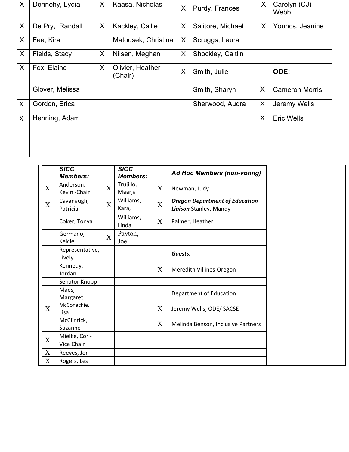| X | Dennehy, Lydia  | X | Kaasa, Nicholas             | X | Purdy, Frances    | X | Carolyn (CJ)<br>Webb  |
|---|-----------------|---|-----------------------------|---|-------------------|---|-----------------------|
| X | De Pry, Randall | X | Kackley, Callie             | X | Salitore, Michael | X | Youncs, Jeanine       |
| X | Fee, Kira       |   | Matousek, Christina         | X | Scruggs, Laura    |   |                       |
| X | Fields, Stacy   | X | Nilsen, Meghan              | X | Shockley, Caitlin |   |                       |
| X | Fox, Elaine     | X | Olivier, Heather<br>(Chair) | X | Smith, Julie      |   | ODE:                  |
|   | Glover, Melissa |   |                             |   | Smith, Sharyn     | X | <b>Cameron Morris</b> |
| X | Gordon, Erica   |   |                             |   | Sherwood, Audra   | X | Jeremy Wells          |
| Χ | Henning, Adam   |   |                             |   |                   | X | <b>Eric Wells</b>     |
|   |                 |   |                             |   |                   |   |                       |
|   |                 |   |                             |   |                   |   |                       |

|             | <b>SICC</b><br><b>Members:</b> |             | <b>SICC</b><br><b>Members:</b> |                           | <b>Ad Hoc Members (non-voting)</b>                              |
|-------------|--------------------------------|-------------|--------------------------------|---------------------------|-----------------------------------------------------------------|
| X           | Anderson,<br>Kevin-Chair       | X           | Trujillo,<br>Maarja            | $\boldsymbol{\mathrm{X}}$ | Newman, Judy                                                    |
| X           | Cavanaugh,<br>Patricia         | X           | Williams,<br>Kara,             | $\mathbf X$               | <b>Oregon Department of Education</b><br>Liaison Stanley, Mandy |
|             | Coker, Tonya                   |             | Williams,<br>Linda             | $\boldsymbol{\mathrm{X}}$ | Palmer, Heather                                                 |
|             | Germano,<br>Kelcie             | $\mathbf X$ | Payton,<br>Joel                |                           |                                                                 |
|             | Representative,<br>Lively      |             |                                |                           | Guests:                                                         |
|             | Kennedy,<br>Jordan             |             |                                | X                         | Meredith Villines-Oregon                                        |
|             | Senator Knopp                  |             |                                |                           |                                                                 |
|             | Maes,<br>Margaret              |             |                                |                           | Department of Education                                         |
| $\mathbf X$ | McConachie,<br>Lisa            |             |                                | X                         | Jeremy Wells, ODE/ SACSE                                        |
|             | McClintick,<br>Suzanne         |             |                                | X                         | Melinda Benson, Inclusive Partners                              |
| X           | Mielke, Cori-<br>Vice Chair    |             |                                |                           |                                                                 |
| X           | Reeves, Jon                    |             |                                |                           |                                                                 |
| X           | Rogers, Les                    |             |                                |                           |                                                                 |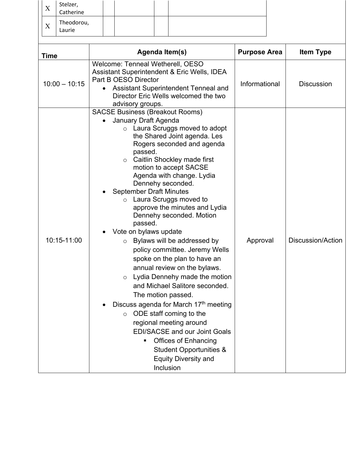| X           | Stelzer,<br>Catherine |                                                                                                                                                                                                             |  |                                                                                                                                                                                                        |           |                                                                                                                                                                                                                                                                                                                                                                                                                                                                                                                                                                                                                                                                                                                                                                           |                     |                   |
|-------------|-----------------------|-------------------------------------------------------------------------------------------------------------------------------------------------------------------------------------------------------------|--|--------------------------------------------------------------------------------------------------------------------------------------------------------------------------------------------------------|-----------|---------------------------------------------------------------------------------------------------------------------------------------------------------------------------------------------------------------------------------------------------------------------------------------------------------------------------------------------------------------------------------------------------------------------------------------------------------------------------------------------------------------------------------------------------------------------------------------------------------------------------------------------------------------------------------------------------------------------------------------------------------------------------|---------------------|-------------------|
|             | Theodorou,            |                                                                                                                                                                                                             |  |                                                                                                                                                                                                        |           |                                                                                                                                                                                                                                                                                                                                                                                                                                                                                                                                                                                                                                                                                                                                                                           |                     |                   |
| X           | Laurie                |                                                                                                                                                                                                             |  |                                                                                                                                                                                                        |           |                                                                                                                                                                                                                                                                                                                                                                                                                                                                                                                                                                                                                                                                                                                                                                           |                     |                   |
|             |                       |                                                                                                                                                                                                             |  |                                                                                                                                                                                                        |           |                                                                                                                                                                                                                                                                                                                                                                                                                                                                                                                                                                                                                                                                                                                                                                           |                     |                   |
| <b>Time</b> |                       |                                                                                                                                                                                                             |  |                                                                                                                                                                                                        |           | Agenda Item(s)                                                                                                                                                                                                                                                                                                                                                                                                                                                                                                                                                                                                                                                                                                                                                            | <b>Purpose Area</b> | <b>Item Type</b>  |
|             | $10:00 - 10:15$       | Welcome: Tenneal Wetherell, OESO<br>Assistant Superintendent & Eric Wells, IDEA<br>Part B OESO Director<br>Assistant Superintendent Tenneal and<br>Director Eric Wells welcomed the two<br>advisory groups. |  |                                                                                                                                                                                                        |           |                                                                                                                                                                                                                                                                                                                                                                                                                                                                                                                                                                                                                                                                                                                                                                           | Informational       | <b>Discussion</b> |
|             | 10:15-11:00           |                                                                                                                                                                                                             |  | <b>SACSE Business (Breakout Rooms)</b><br>January Draft Agenda<br>passed.<br>$\circ$<br><b>September Draft Minutes</b><br>$\circ$<br>passed.<br>Vote on bylaws update<br>$\circ$<br>$\circ$<br>$\circ$ | Inclusion | $\circ$ Laura Scruggs moved to adopt<br>the Shared Joint agenda. Les<br>Rogers seconded and agenda<br>Caitlin Shockley made first<br>motion to accept SACSE<br>Agenda with change. Lydia<br>Dennehy seconded.<br>Laura Scruggs moved to<br>approve the minutes and Lydia<br>Dennehy seconded. Motion<br>Bylaws will be addressed by<br>policy committee. Jeremy Wells<br>spoke on the plan to have an<br>annual review on the bylaws.<br>Lydia Dennehy made the motion<br>and Michael Salitore seconded.<br>The motion passed.<br>Discuss agenda for March 17th meeting<br>ODE staff coming to the<br>regional meeting around<br><b>EDI/SACSE and our Joint Goals</b><br><b>Offices of Enhancing</b><br><b>Student Opportunities &amp;</b><br><b>Equity Diversity and</b> | Approval            | Discussion/Action |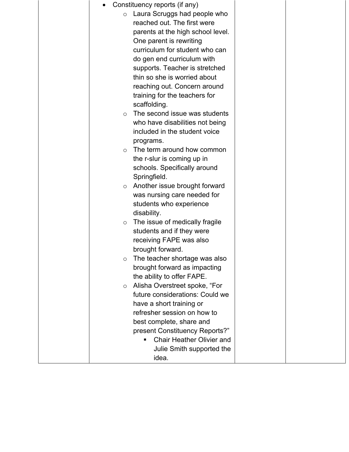|            | Constituency reports (if any)                     |  |
|------------|---------------------------------------------------|--|
| $\circ$    | Laura Scruggs had people who                      |  |
|            | reached out. The first were                       |  |
|            | parents at the high school level.                 |  |
|            | One parent is rewriting                           |  |
|            | curriculum for student who can                    |  |
|            | do gen end curriculum with                        |  |
|            | supports. Teacher is stretched                    |  |
|            | thin so she is worried about                      |  |
|            | reaching out. Concern around                      |  |
|            | training for the teachers for                     |  |
|            | scaffolding.                                      |  |
| $\circ$    | The second issue was students                     |  |
|            | who have disabilities not being                   |  |
|            | included in the student voice                     |  |
|            | programs.                                         |  |
| $\bigcirc$ | The term around how common                        |  |
|            | the r-slur is coming up in                        |  |
|            | schools. Specifically around                      |  |
|            | Springfield.                                      |  |
| $\circ$    | Another issue brought forward                     |  |
|            | was nursing care needed for                       |  |
|            | students who experience                           |  |
|            | disability.                                       |  |
| $\circ$    | The issue of medically fragile                    |  |
|            | students and if they were                         |  |
|            | receiving FAPE was also                           |  |
|            | brought forward.<br>The teacher shortage was also |  |
| O          | brought forward as impacting                      |  |
|            | the ability to offer FAPE.                        |  |
| $\circ$    | Alisha Overstreet spoke, "For                     |  |
|            | future considerations: Could we                   |  |
|            | have a short training or                          |  |
|            | refresher session on how to                       |  |
|            | best complete, share and                          |  |
|            | present Constituency Reports?"                    |  |
|            | <b>Chair Heather Olivier and</b><br>٠             |  |
|            | Julie Smith supported the                         |  |
|            | idea.                                             |  |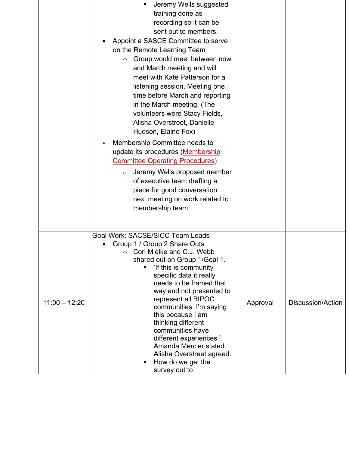|                 | Jeremy Wells suggested<br>training done as<br>recording so it can be<br>sent out to members.<br>Appoint a SASCE Committee to serve<br>on the Remote Learning Team<br>Group would meet between now<br>$\circ$<br>and March meeting and will<br>meet with Kate Patterson for a<br>listening session. Meeting one<br>time before March and reporting<br>in the March meeting. (The<br>volunteers were Stacy Fields,<br>Alisha Overstreet, Danielle<br>Hudson, Elaine Fox)<br>Membership Committee needs to<br>update its procedures (Membership<br><b>Committee Operating Procedures)</b><br>Jeremy Wells proposed member<br>$\circ$<br>of executive team drafting a<br>piece for good conversation<br>next meeting on work related to<br>membership team. |          |                   |
|-----------------|---------------------------------------------------------------------------------------------------------------------------------------------------------------------------------------------------------------------------------------------------------------------------------------------------------------------------------------------------------------------------------------------------------------------------------------------------------------------------------------------------------------------------------------------------------------------------------------------------------------------------------------------------------------------------------------------------------------------------------------------------------|----------|-------------------|
| $11:00 - 12:20$ | Goal Work: SACSE/SICC Team Leads<br>Group 1 / Group 2 Share Outs<br>Cori Mielke and C.J. Webb<br>O<br>shared out on Group 1/Goal 1.<br>'If this is community<br>specific data it really<br>needs to be framed that<br>way and not presented to<br>represent all BIPOC<br>communities. I'm saying<br>this because I am<br>thinking different<br>communities have<br>different experiences."<br>Amanda Mercier stated.<br>Alisha Overstreet agreed.<br>How do we get the<br>п<br>survey out to                                                                                                                                                                                                                                                            | Approval | Discussion/Action |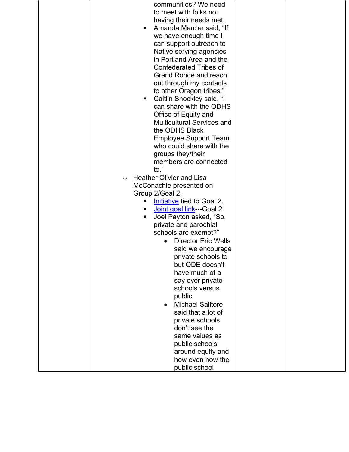| communities? We need                          |  |
|-----------------------------------------------|--|
| to meet with folks not                        |  |
| having their needs met.                       |  |
| Amanda Mercier said, "If                      |  |
| we have enough time I                         |  |
| can support outreach to                       |  |
| Native serving agencies                       |  |
| in Portland Area and the                      |  |
| <b>Confederated Tribes of</b>                 |  |
| Grand Ronde and reach                         |  |
| out through my contacts                       |  |
| to other Oregon tribes."                      |  |
| Caitlin Shockley said, "I<br>п                |  |
| can share with the ODHS                       |  |
| Office of Equity and                          |  |
| <b>Multicultural Services and</b>             |  |
| the ODHS Black                                |  |
| <b>Employee Support Team</b>                  |  |
| who could share with the                      |  |
| groups they/their                             |  |
| members are connected                         |  |
| $\mathsf{to}$ ."                              |  |
| <b>Heather Olivier and Lisa</b><br>$\circ$    |  |
| McConachie presented on                       |  |
| Group 2/Goal 2.                               |  |
| Initiative tied to Goal 2.<br>٠               |  |
| Joint goal link---Goal 2.                     |  |
| Joel Payton asked, "So,                       |  |
| private and parochial<br>schools are exempt?" |  |
| <b>Director Eric Wells</b>                    |  |
| said we encourage                             |  |
| private schools to                            |  |
| but ODE doesn't                               |  |
| have much of a                                |  |
| say over private                              |  |
| schools versus                                |  |
| public.                                       |  |
| <b>Michael Salitore</b>                       |  |
| said that a lot of                            |  |
| private schools                               |  |
| don't see the                                 |  |
| same values as                                |  |
| public schools                                |  |
| around equity and                             |  |
| how even now the                              |  |
| public school                                 |  |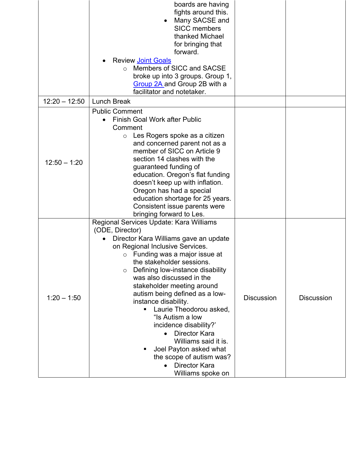|                 | boards are having<br>fights around this.<br>Many SACSE and<br><b>SICC</b> members<br>thanked Michael<br>for bringing that<br>forward.<br><b>Review Joint Goals</b><br>Members of SICC and SACSE<br>$\Omega$<br>broke up into 3 groups. Group 1,<br>Group 2A and Group 2B with a<br>facilitator and notetaker.                                                                                                                                                                                                                                                                                            |                   |                   |
|-----------------|----------------------------------------------------------------------------------------------------------------------------------------------------------------------------------------------------------------------------------------------------------------------------------------------------------------------------------------------------------------------------------------------------------------------------------------------------------------------------------------------------------------------------------------------------------------------------------------------------------|-------------------|-------------------|
| $12:20 - 12:50$ | <b>Lunch Break</b>                                                                                                                                                                                                                                                                                                                                                                                                                                                                                                                                                                                       |                   |                   |
| $12:50 - 1:20$  | <b>Public Comment</b><br><b>Finish Goal Work after Public</b><br>Comment<br>Les Rogers spoke as a citizen<br>$\circ$<br>and concerned parent not as a<br>member of SICC on Article 9<br>section 14 clashes with the<br>guaranteed funding of<br>education. Oregon's flat funding<br>doesn't keep up with inflation.<br>Oregon has had a special<br>education shortage for 25 years.<br>Consistent issue parents were<br>bringing forward to Les.                                                                                                                                                         |                   |                   |
| $1:20 - 1:50$   | Regional Services Update: Kara Williams<br>(ODE, Director)<br>Director Kara Williams gave an update<br>on Regional Inclusive Services.<br>Funding was a major issue at<br>O<br>the stakeholder sessions.<br>Defining low-instance disability<br>$\circ$<br>was also discussed in the<br>stakeholder meeting around<br>autism being defined as a low-<br>instance disability.<br>Laurie Theodorou asked,<br>"Is Autism a low<br>incidence disability?'<br><b>Director Kara</b><br>Williams said it is.<br>Joel Payton asked what<br>the scope of autism was?<br><b>Director Kara</b><br>Williams spoke on | <b>Discussion</b> | <b>Discussion</b> |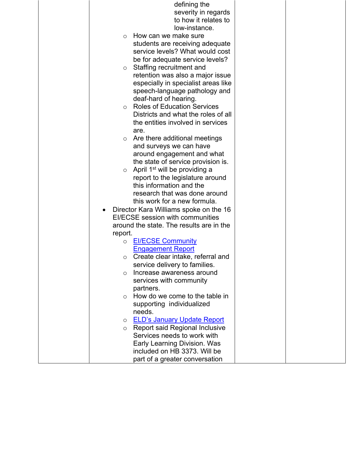|            | defining the                              |  |
|------------|-------------------------------------------|--|
|            | severity in regards                       |  |
|            | to how it relates to                      |  |
|            | low-instance.                             |  |
| $\bigcirc$ | How can we make sure                      |  |
|            | students are receiving adequate           |  |
|            | service levels? What would cost           |  |
|            | be for adequate service levels?           |  |
| $\circ$    | Staffing recruitment and                  |  |
|            | retention was also a major issue          |  |
|            | especially in specialist areas like       |  |
|            | speech-language pathology and             |  |
|            | deaf-hard of hearing.                     |  |
| $\circ$    | <b>Roles of Education Services</b>        |  |
|            | Districts and what the roles of all       |  |
|            | the entities involved in services         |  |
|            | are.                                      |  |
|            | Are there additional meetings             |  |
|            | and surveys we can have                   |  |
|            | around engagement and what                |  |
|            | the state of service provision is.        |  |
| $\circ$    | April 1 <sup>st</sup> will be providing a |  |
|            | report to the legislature around          |  |
|            | this information and the                  |  |
|            | research that was done around             |  |
|            | this work for a new formula.              |  |
|            | Director Kara Williams spoke on the 16    |  |
|            | EI/ECSE session with communities          |  |
|            | around the state. The results are in the  |  |
| report.    |                                           |  |
| $\circ$    | <b>EI/ECSE Community</b>                  |  |
|            | <b>Engagement Report</b>                  |  |
|            | Create clear intake, referral and         |  |
|            | service delivery to families.             |  |
| $\circ$    | Increase awareness around                 |  |
|            | services with community                   |  |
|            | partners.                                 |  |
| $\circ$    | How do we come to the table in            |  |
|            | supporting individualized                 |  |
|            | needs.                                    |  |
| $\circ$    | <b>ELD's January Update Report</b>        |  |
| $\circ$    | <b>Report said Regional Inclusive</b>     |  |
|            | Services needs to work with               |  |
|            | Early Learning Division. Was              |  |
|            | included on HB 3373. Will be              |  |
|            | part of a greater conversation            |  |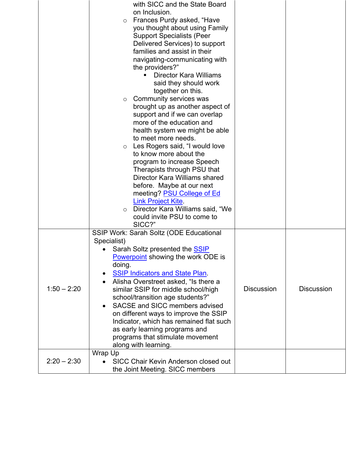|               | with SICC and the State Board<br>on Inclusion.<br>Frances Purdy asked, "Have<br>$\circ$<br>you thought about using Family<br><b>Support Specialists (Peer</b><br>Delivered Services) to support<br>families and assist in their<br>navigating-communicating with<br>the providers?"<br><b>Director Kara Williams</b><br>said they should work<br>together on this.<br>Community services was<br>$\circ$<br>brought up as another aspect of<br>support and if we can overlap<br>more of the education and<br>health system we might be able<br>to meet more needs.<br>Les Rogers said, "I would love<br>$\circ$<br>to know more about the<br>program to increase Speech<br>Therapists through PSU that<br>Director Kara Williams shared<br>before. Maybe at our next<br>meeting? <b>PSU College of Ed</b><br><b>Link Project Kite</b> |                   |                   |
|---------------|--------------------------------------------------------------------------------------------------------------------------------------------------------------------------------------------------------------------------------------------------------------------------------------------------------------------------------------------------------------------------------------------------------------------------------------------------------------------------------------------------------------------------------------------------------------------------------------------------------------------------------------------------------------------------------------------------------------------------------------------------------------------------------------------------------------------------------------|-------------------|-------------------|
| $1:50 - 2:20$ | could invite PSU to come to<br>SICC?"<br>SSIP Work: Sarah Soltz (ODE Educational<br>Specialist)<br>Sarah Soltz presented the <b>SSIP</b><br>Powerpoint showing the work ODE is<br>doing.<br><b>SSIP Indicators and State Plan.</b><br>Alisha Overstreet asked, "Is there a<br>similar SSIP for middle school/high<br>school/transition age students?"<br>SACSE and SICC members advised<br>on different ways to improve the SSIP<br>Indicator, which has remained flat such<br>as early learning programs and<br>programs that stimulate movement<br>along with learning.<br>Wrap Up                                                                                                                                                                                                                                                 | <b>Discussion</b> | <b>Discussion</b> |
| $2:20 - 2:30$ | <b>SICC Chair Kevin Anderson closed out</b><br>the Joint Meeting. SICC members                                                                                                                                                                                                                                                                                                                                                                                                                                                                                                                                                                                                                                                                                                                                                       |                   |                   |